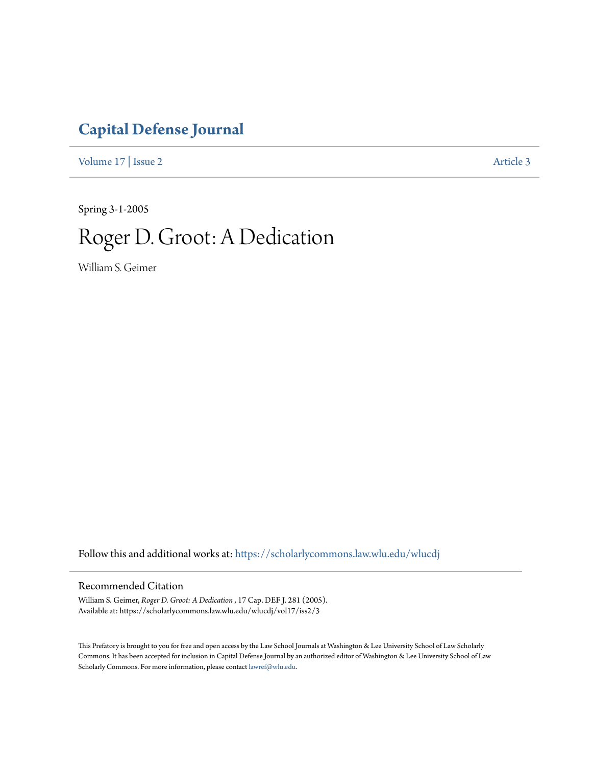## **[Capital Defense Journal](https://scholarlycommons.law.wlu.edu/wlucdj?utm_source=scholarlycommons.law.wlu.edu%2Fwlucdj%2Fvol17%2Fiss2%2F3&utm_medium=PDF&utm_campaign=PDFCoverPages)**

[Volume 17](https://scholarlycommons.law.wlu.edu/wlucdj/vol17?utm_source=scholarlycommons.law.wlu.edu%2Fwlucdj%2Fvol17%2Fiss2%2F3&utm_medium=PDF&utm_campaign=PDFCoverPages) | [Issue 2](https://scholarlycommons.law.wlu.edu/wlucdj/vol17/iss2?utm_source=scholarlycommons.law.wlu.edu%2Fwlucdj%2Fvol17%2Fiss2%2F3&utm_medium=PDF&utm_campaign=PDFCoverPages) [Article 3](https://scholarlycommons.law.wlu.edu/wlucdj/vol17/iss2/3?utm_source=scholarlycommons.law.wlu.edu%2Fwlucdj%2Fvol17%2Fiss2%2F3&utm_medium=PDF&utm_campaign=PDFCoverPages)

Spring 3-1-2005

## Roger D. Groot: A Dedication

William S. Geimer

Follow this and additional works at: [https://scholarlycommons.law.wlu.edu/wlucdj](https://scholarlycommons.law.wlu.edu/wlucdj?utm_source=scholarlycommons.law.wlu.edu%2Fwlucdj%2Fvol17%2Fiss2%2F3&utm_medium=PDF&utm_campaign=PDFCoverPages)

## Recommended Citation

William S. Geimer, *Roger D. Groot: A Dedication* , 17 Cap. DEF J. 281 (2005). Available at: https://scholarlycommons.law.wlu.edu/wlucdj/vol17/iss2/3

This Prefatory is brought to you for free and open access by the Law School Journals at Washington & Lee University School of Law Scholarly Commons. It has been accepted for inclusion in Capital Defense Journal by an authorized editor of Washington & Lee University School of Law Scholarly Commons. For more information, please contact [lawref@wlu.edu.](mailto:lawref@wlu.edu)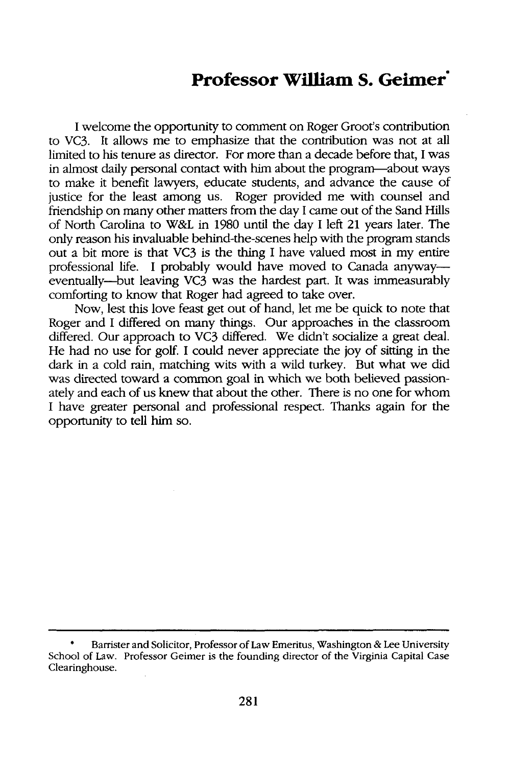## **Professor William S. Geimer"**

I welcome the opportunity to comment on Roger Groot's contribution to VC3. It allows me to emphasize that the contribution was not at all limited to his tenure as director. For more than a decade before that, I was in almost daily personal contact with him about the program---about ways to make it benefit lawyers, educate students, and advance the cause of justice for the least among us. Roger provided me with counsel and friendship on many other matters from the day I came out of the Sand Hills of North Carolina to *W&L* in 1980 until the day I left 21 years later. The only reason his invaluable behind-the-scenes help with the program stands out a bit more is that VC3 is the thing I have valued most in my entire professional life. I probably would have moved to Canada anyway eventually--but leaving VC3 was the hardest part. It was immeasurably comforting to know that Roger had agreed to take over.

Now, lest this love feast get out of hand, let me be quick to note that Roger and I differed on many things. Our approaches in the classroom differed. Our approach to VC3 differed. We didn't socialize a great deal. He had no use for golf. I could never appreciate the joy of sitting in the dark in a cold rain, matching wits with a wild turkey. But what we did was directed toward a common goal in which we both believed passionately and each of us knew that about the other. There is no one for whom I have greater personal and professional respect. Thanks again for the opportunity to tell him so.

Barrister and Solicitor, Professor of Law Emeritus, Washington & Lee University School of Law. Professor Geimer is the founding director of the Virginia Capital Case Clearinghouse.